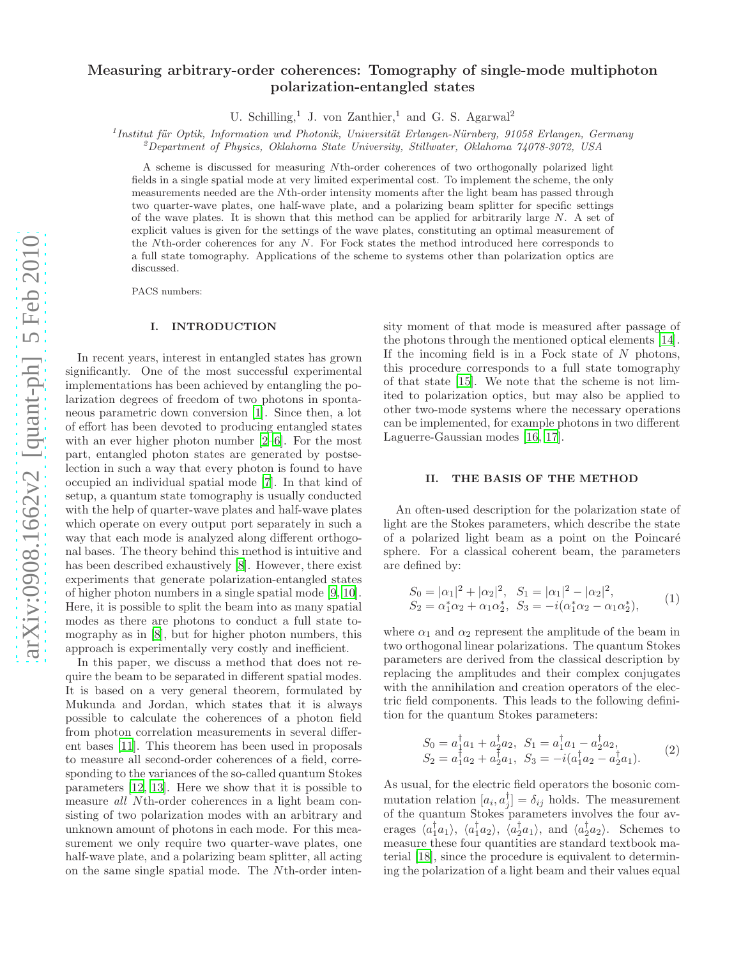# Measuring arbitrary-order coherences: Tomography of single-mode multiphoton polarization-entangled states

U. Schilling,<sup>1</sup> J. von Zanthier,<sup>1</sup> and G. S. Agarwal<sup>2</sup>

 $1$ Institut für Optik, Information und Photonik, Universität Erlangen-Nürnberg, 91058 Erlangen, Germany

 $^{2}$ Department of Physics, Oklahoma State University, Stillwater, Oklahoma 74078-3072, USA

A scheme is discussed for measuring Nth-order coherences of two orthogonally polarized light fields in a single spatial mode at very limited experimental cost. To implement the scheme, the only measurements needed are the Nth-order intensity moments after the light beam has passed through two quarter-wave plates, one half-wave plate, and a polarizing beam splitter for specific settings of the wave plates. It is shown that this method can be applied for arbitrarily large  $N$ . A set of explicit values is given for the settings of the wave plates, constituting an optimal measurement of the Nth-order coherences for any N. For Fock states the method introduced here corresponds to a full state tomography. Applications of the scheme to systems other than polarization optics are discussed.

PACS numbers:

#### I. INTRODUCTION

In recent years, interest in entangled states has grown significantly. One of the most successful experimental implementations has been achieved by entangling the polarization degrees of freedom of two photons in spontaneous parametric down conversion [\[1\]](#page-5-0). Since then, a lot of effort has been devoted to producing entangled states with an ever higher photon number [\[2](#page-5-1)[–6\]](#page-5-2). For the most part, entangled photon states are generated by postselection in such a way that every photon is found to have occupied an individual spatial mode [\[7\]](#page-5-3). In that kind of setup, a quantum state tomography is usually conducted with the help of quarter-wave plates and half-wave plates which operate on every output port separately in such a way that each mode is analyzed along different orthogonal bases. The theory behind this method is intuitive and has been described exhaustively [\[8\]](#page-5-4). However, there exist experiments that generate polarization-entangled states of higher photon numbers in a single spatial mode [\[9](#page-5-5), [10\]](#page-5-6). Here, it is possible to split the beam into as many spatial modes as there are photons to conduct a full state tomography as in [\[8\]](#page-5-4), but for higher photon numbers, this approach is experimentally very costly and inefficient.

In this paper, we discuss a method that does not require the beam to be separated in different spatial modes. It is based on a very general theorem, formulated by Mukunda and Jordan, which states that it is always possible to calculate the coherences of a photon field from photon correlation measurements in several different bases [\[11](#page-5-7)]. This theorem has been used in proposals to measure all second-order coherences of a field, corresponding to the variances of the so-called quantum Stokes parameters [\[12,](#page-5-8) [13](#page-5-9)]. Here we show that it is possible to measure all Nth-order coherences in a light beam consisting of two polarization modes with an arbitrary and unknown amount of photons in each mode. For this measurement we only require two quarter-wave plates, one half-wave plate, and a polarizing beam splitter, all acting on the same single spatial mode. The Nth-order intensity moment of that mode is measured after passage of the photons through the mentioned optical elements [\[14\]](#page-5-10). If the incoming field is in a Fock state of  $N$  photons, this procedure corresponds to a full state tomography of that state [\[15\]](#page-5-11). We note that the scheme is not limited to polarization optics, but may also be applied to other two-mode systems where the necessary operations can be implemented, for example photons in two different Laguerre-Gaussian modes [\[16](#page-5-12), [17](#page-5-13)].

# II. THE BASIS OF THE METHOD

An often-used description for the polarization state of light are the Stokes parameters, which describe the state of a polarized light beam as a point on the Poincaré sphere. For a classical coherent beam, the parameters are defined by:

$$
S_0 = |\alpha_1|^2 + |\alpha_2|^2, \quad S_1 = |\alpha_1|^2 - |\alpha_2|^2, S_2 = \alpha_1^* \alpha_2 + \alpha_1 \alpha_2^*, \quad S_3 = -i(\alpha_1^* \alpha_2 - \alpha_1 \alpha_2^*),
$$
 (1)

where  $\alpha_1$  and  $\alpha_2$  represent the amplitude of the beam in two orthogonal linear polarizations. The quantum Stokes parameters are derived from the classical description by replacing the amplitudes and their complex conjugates with the annihilation and creation operators of the electric field components. This leads to the following definition for the quantum Stokes parameters:

$$
S_0 = a_1^{\dagger} a_1 + a_2^{\dagger} a_2, \quad S_1 = a_1^{\dagger} a_1 - a_2^{\dagger} a_2, S_2 = a_1^{\dagger} a_2 + a_2^{\dagger} a_1, \quad S_3 = -i(a_1^{\dagger} a_2 - a_2^{\dagger} a_1).
$$
 (2)

As usual, for the electric field operators the bosonic commutation relation  $[a_i, a_j^{\dagger}] = \delta_{ij}$  holds. The measurement of the quantum Stokes parameters involves the four averages  $\langle a_1^{\dagger} a_1 \rangle$ ,  $\langle a_1^{\dagger} a_2 \rangle$ ,  $\langle a_2^{\dagger} a_1 \rangle$ , and  $\langle a_2^{\dagger} a_2 \rangle$ . Schemes to measure these four quantities are standard textbook material [\[18\]](#page-5-14), since the procedure is equivalent to determining the polarization of a light beam and their values equal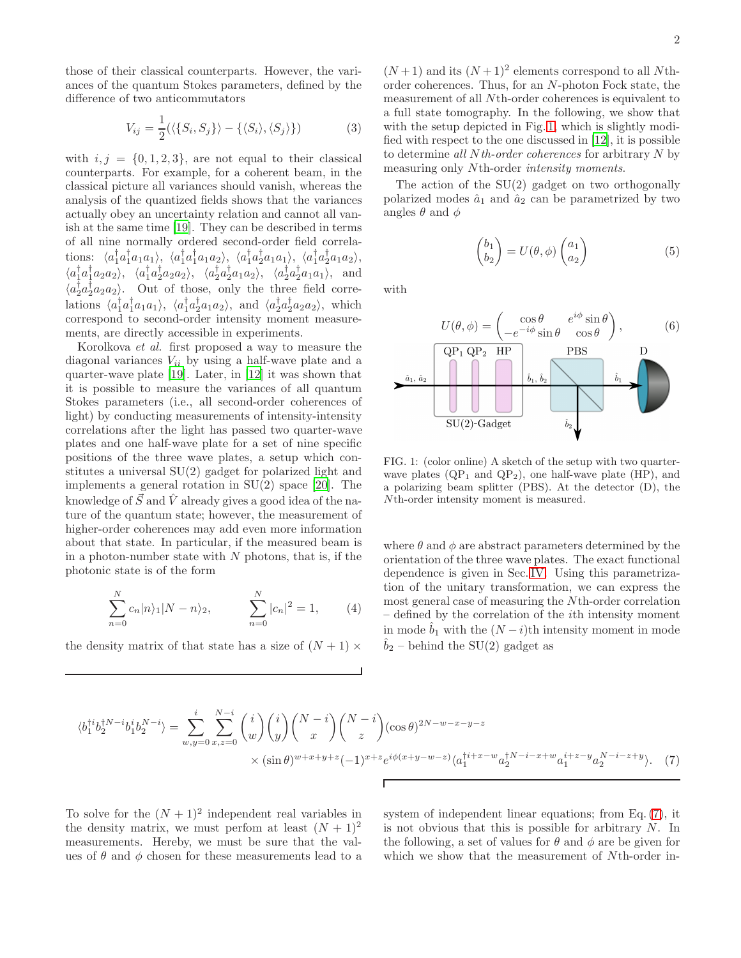those of their classical counterparts. However, the variances of the quantum Stokes parameters, defined by the difference of two anticommutators

$$
V_{ij} = \frac{1}{2} (\langle \{S_i, S_j\} \rangle - \{ \langle S_i \rangle, \langle S_j \rangle \})
$$
(3)

with  $i, j = \{0, 1, 2, 3\}$ , are not equal to their classical counterparts. For example, for a coherent beam, in the classical picture all variances should vanish, whereas the analysis of the quantized fields shows that the variances actually obey an uncertainty relation and cannot all vanish at the same time [\[19\]](#page-5-15). They can be described in terms of all nine normally ordered second-order field correlations:  $\langle a_1^{\dagger} a_1^{\dagger} a_1 a_1 \rangle$ ,  $\langle a_1^{\dagger} a_1^{\dagger} a_1 a_2 \rangle$ ,  $\langle a_1^{\dagger} a_2^{\dagger} a_1 a_1 \rangle$ ,  $\langle a_1^{\dagger} a_2^{\dagger} a_1 a_2 \rangle$ ,  $\langle a_1^{\dagger} a_1^{\dagger} a_2 a_2 \rangle, \ \langle a_1^{\dagger} a_2^{\dagger} a_2 a_2 \rangle, \ \langle a_2^{\dagger} a_2^{\dagger} a_1 a_2 \rangle, \ \langle a_2^{\dagger} a_2^{\dagger} a_1 a_1 \rangle, \text{ and}$  $\langle a_2^{\dagger} a_2^{\dagger} a_2 a_2 \rangle$ . Out of those, only the three field correlations  $\langle a_1^{\dagger} a_1^{\dagger} a_1 a_1 \rangle$ ,  $\langle a_1^{\dagger} a_2^{\dagger} a_1 a_2 \rangle$ , and  $\langle a_2^{\dagger} a_2^{\dagger} a_2 a_2 \rangle$ , which correspond to second-order intensity moment measurements, are directly accessible in experiments.

Korolkova et al. first proposed a way to measure the diagonal variances  $V_{ii}$  by using a half-wave plate and a quarter-wave plate [\[19](#page-5-15)]. Later, in [\[12](#page-5-8)] it was shown that it is possible to measure the variances of all quantum Stokes parameters (i.e., all second-order coherences of light) by conducting measurements of intensity-intensity correlations after the light has passed two quarter-wave plates and one half-wave plate for a set of nine specific positions of the three wave plates, a setup which constitutes a universal SU(2) gadget for polarized light and implements a general rotation in  $SU(2)$  space [\[20\]](#page-5-16). The knowledge of  $\vec{S}$  and  $\hat{V}$  already gives a good idea of the nature of the quantum state; however, the measurement of higher-order coherences may add even more information about that state. In particular, if the measured beam is in a photon-number state with  $N$  photons, that is, if the photonic state is of the form

$$
\sum_{n=0}^{N} c_n |n\rangle_1 |N - n\rangle_2, \qquad \sum_{n=0}^{N} |c_n|^2 = 1, \qquad (4)
$$

the density matrix of that state has a size of  $(N + 1) \times$ 

<span id="page-1-3"></span> $(N+1)$  and its  $(N+1)^2$  elements correspond to all Nthorder coherences. Thus, for an N-photon Fock state, the measurement of all Nth-order coherences is equivalent to a full state tomography. In the following, we show that with the setup depicted in Fig. [1,](#page-1-0) which is slightly modified with respect to the one discussed in [\[12](#page-5-8)], it is possible to determine all  $N$ th-order coherences for arbitrary  $N$  by measuring only N<sup>th</sup>-order *intensity moments*.

The action of the  $SU(2)$  gadget on two orthogonally polarized modes  $\hat{a}_1$  and  $\hat{a}_2$  can be parametrized by two angles  $\theta$  and  $\phi$ 

<span id="page-1-2"></span>
$$
\begin{pmatrix} b_1 \\ b_2 \end{pmatrix} = U(\theta, \phi) \begin{pmatrix} a_1 \\ a_2 \end{pmatrix}
$$
 (5)

with



<span id="page-1-0"></span>FIG. 1: (color online) A sketch of the setup with two quarterwave plates  $(QP_1$  and  $QP_2$ ), one half-wave plate (HP), and a polarizing beam splitter (PBS). At the detector (D), the Nth-order intensity moment is measured.

where  $\theta$  and  $\phi$  are abstract parameters determined by the orientation of the three wave plates. The exact functional dependence is given in Sec. [IV.](#page-3-0) Using this parametrization of the unitary transformation, we can express the most general case of measuring the Nth-order correlation – defined by the correlation of the ith intensity moment in mode  $b_1$  with the  $(N - i)$ th intensity moment in mode  $\hat{b}_2$  – behind the SU(2) gadget as

$$
\langle b_1^{\dagger i} b_2^{\dagger N - i} b_1^i b_2^{N - i} \rangle = \sum_{w, y=0}^i \sum_{x, z=0}^{N-i} {i \choose w} {i \choose y} {N - i \choose z} (\cos \theta)^{2N - w - x - y - z} \times (\sin \theta)^{w + x + y + z} (-1)^{x + z} e^{i\phi(x + y - w - z)} \langle a_1^{\dagger i + x - w} a_2^{\dagger N - i - x + w} a_1^{i + z - y} a_2^{N - i - z + y} \rangle. \tag{7}
$$

To solve for the  $(N + 1)^2$  independent real variables in the density matrix, we must perfom at least  $(N + 1)^2$ measurements. Hereby, we must be sure that the values of  $\theta$  and  $\phi$  chosen for these measurements lead to a <span id="page-1-1"></span>system of independent linear equations; from Eq. [\(7\)](#page-1-1), it is not obvious that this is possible for arbitrary  $N$ . In the following, a set of values for  $\theta$  and  $\phi$  are be given for which we show that the measurement of Nth-order in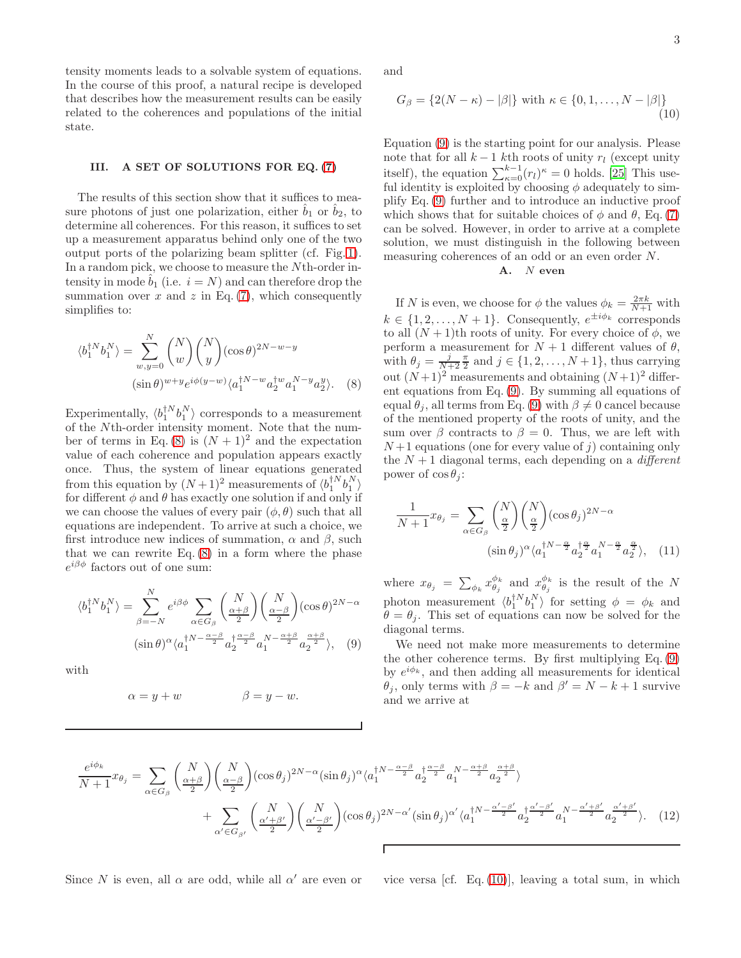tensity moments leads to a solvable system of equations. In the course of this proof, a natural recipe is developed that describes how the measurement results can be easily related to the coherences and populations of the initial state.

## III. A SET OF SOLUTIONS FOR EQ. [\(7\)](#page-1-1)

The results of this section show that it suffices to measure photons of just one polarization, either  $\hat{b}_1$  or  $\hat{b}_2$ , to determine all coherences. For this reason, it suffices to set up a measurement apparatus behind only one of the two output ports of the polarizing beam splitter (cf. Fig. [1\)](#page-1-0). In a random pick, we choose to measure the Nth-order intensity in mode  $b_1$  (i.e.  $i = N$ ) and can therefore drop the summation over  $x$  and  $z$  in Eq. [\(7\)](#page-1-1), which consequently simplifies to:

$$
\langle b_1^{\dagger N} b_1^N \rangle = \sum_{w,y=0}^N \binom{N}{w} \binom{N}{y} (\cos \theta)^{2N-w-y}
$$
  

$$
(\sin \theta)^{w+y} e^{i\phi(y-w)} \langle a_1^{\dagger N-w} a_2^{\dagger w} a_1^{N-y} a_2^y \rangle. \tag{8}
$$

Experimentally,  $\langle b_1^{\dagger N} b_1^N \rangle$  corresponds to a measurement of the Nth-order intensity moment. Note that the num-ber of terms in Eq. [\(8\)](#page-2-0) is  $(N + 1)^2$  and the expectation value of each coherence and population appears exactly once. Thus, the system of linear equations generated from this equation by  $(N+1)^2$  measurements of  $\langle b_1^{\dagger N} b_1^N \rangle$ for different  $\phi$  and  $\theta$  has exactly one solution if and only if we can choose the values of every pair  $(\phi, \theta)$  such that all equations are independent. To arrive at such a choice, we first introduce new indices of summation,  $\alpha$  and  $\beta$ , such that we can rewrite Eq.  $(8)$  in a form where the phase  $e^{i\beta\phi}$  factors out of one sum:

$$
\langle b_1^{\dagger N} b_1^N \rangle = \sum_{\beta=-N}^N e^{i\beta \phi} \sum_{\alpha \in G_\beta} \binom{N}{\frac{\alpha+\beta}{2}} \binom{N}{\frac{\alpha-\beta}{2}} (\cos \theta)^{2N-\alpha}
$$

$$
(\sin \theta)^\alpha \langle a_1^{\dagger N - \frac{\alpha-\beta}{2}} a_2^{\dagger \frac{\alpha-\beta}{2}} a_1^{N - \frac{\alpha+\beta}{2}} a_2^{\frac{\alpha+\beta}{2}} \rangle, \quad (9)
$$

with

$$
\alpha = y + w \qquad \beta = y - w.
$$

and

$$
G_{\beta} = \{2(N - \kappa) - |\beta|\} \text{ with } \kappa \in \{0, 1, ..., N - |\beta|\}
$$
\n(10)

Equation [\(9\)](#page-2-1) is the starting point for our analysis. Please note that for all  $k - 1$  kth roots of unity  $r_l$  (except unity itself), the equation  $\sum_{\kappa=0}^{k-1} (r_l)^{\kappa} = 0$  holds. [\[25\]](#page-5-17) This useful identity is exploited by choosing  $\phi$  adequately to simplify Eq. [\(9\)](#page-2-1) further and to introduce an inductive proof which shows that for suitable choices of  $\phi$  and  $\theta$ , Eq. [\(7\)](#page-1-1) can be solved. However, in order to arrive at a complete solution, we must distinguish in the following between measuring coherences of an odd or an even order N.

# <span id="page-2-2"></span>A. N even

<span id="page-2-0"></span>If N is even, we choose for  $\phi$  the values  $\phi_k = \frac{2\pi k}{N+1}$  with  $k \in \{1, 2, ..., N + 1\}$ . Consequently,  $e^{\pm i\phi_k}$  corresponds to all  $(N + 1)$ th roots of unity. For every choice of  $\phi$ , we perform a measurement for  $N + 1$  different values of  $\theta$ , with  $\theta_j = \frac{j}{N+2} \frac{\pi}{2}$  and  $j \in \{1, 2, ..., N+1\}$ , thus carrying out  $(N+1)^2$  measurements and obtaining  $(N+1)^2$  different equations from Eq. [\(9\)](#page-2-1). By summing all equations of equal  $\theta_i$ , all terms from Eq. [\(9\)](#page-2-1) with  $\beta \neq 0$  cancel because of the mentioned property of the roots of unity, and the sum over  $\beta$  contracts to  $\beta = 0$ . Thus, we are left with  $N+1$  equations (one for every value of j) containing only the  $N+1$  diagonal terms, each depending on a *different* power of  $\cos \theta_i$ :

<span id="page-2-4"></span>
$$
\frac{1}{N+1}x_{\theta_j} = \sum_{\alpha \in G_\beta} {N \choose \frac{\alpha}{2}} {N \choose \frac{\alpha}{2}} (\cos \theta_j)^{2N-\alpha}
$$

$$
(\sin \theta_j)^{\alpha} \langle a_1^{N-\frac{\alpha}{2}} a_2^{1\frac{\alpha}{2}} a_1^{N-\frac{\alpha}{2}} a_2^{\frac{\alpha}{2}} \rangle, \quad (11)
$$

where  $x_{\theta_j} = \sum_{\phi_k} x_{\theta_j}^{\phi_k}$  and  $x_{\theta_j}^{\phi_k}$  is the result of the N photon measurement  $\langle b_1^{\dagger N} b_1^N \rangle$  for setting  $\phi = \phi_k$  and  $\theta = \theta_j$ . This set of equations can now be solved for the diagonal terms.

<span id="page-2-1"></span>We need not make more measurements to determine the other coherence terms. By first multiplying Eq. [\(9\)](#page-2-1) by  $e^{i\phi_k}$ , and then adding all measurements for identical  $\theta_j$ , only terms with  $\beta = -k$  and  $\beta' = N - k + 1$  survive and we arrive at

$$
\frac{e^{i\phi_k}}{N+1}x_{\theta_j} = \sum_{\alpha \in G_{\beta}} \binom{N}{\frac{\alpha+\beta}{2}} \binom{N}{\frac{\alpha-\beta}{2}} (\cos \theta_j)^{2N-\alpha} (\sin \theta_j)^{\alpha} \langle a_1^{\dagger N-\frac{\alpha-\beta}{2}} a_2^{\dagger \frac{\alpha-\beta}{2}} a_1^{N-\frac{\alpha+\beta}{2}} a_2^{\frac{\alpha+\beta}{2}} \rangle
$$
  
+ 
$$
\sum_{\alpha' \in G_{\beta'}} \binom{N}{\frac{\alpha'+\beta'}{2}} \binom{N}{\frac{\alpha'-\beta'}{2}} (\cos \theta_j)^{2N-\alpha'} (\sin \theta_j)^{\alpha'} \langle a_1^{\dagger N-\frac{\alpha'-\beta'}{2}} a_2^{\dagger \frac{\alpha'-\beta'}{2}} a_1^{N-\frac{\alpha'+\beta'}{2}} a_2^{\frac{\alpha'+\beta'}{2}} \rangle. \tag{12}
$$

Since N is even, all  $\alpha$  are odd, while all  $\alpha'$  are even or

<span id="page-2-3"></span>vice versa [cf. Eq.  $(10)$ ], leaving a total sum, in which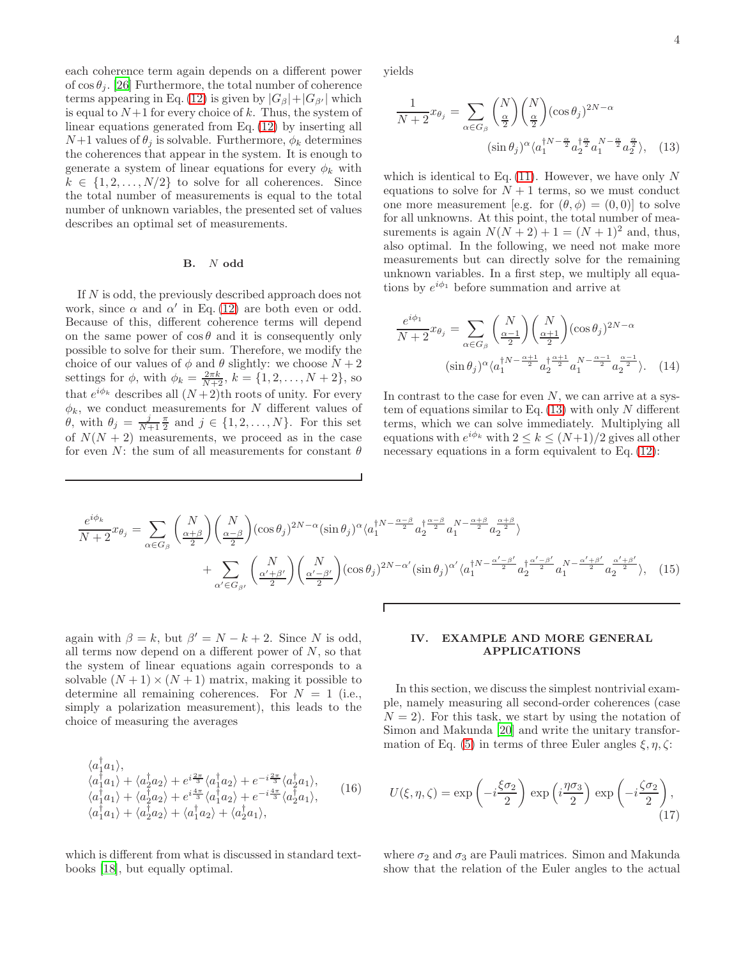each coherence term again depends on a different power of  $\cos \theta_i$ . [\[26\]](#page-5-18) Furthermore, the total number of coherence terms appearing in Eq. [\(12\)](#page-2-3) is given by  $|G_\beta|+|G_{\beta'}|$  which is equal to  $N+1$  for every choice of k. Thus, the system of linear equations generated from Eq. [\(12\)](#page-2-3) by inserting all  $N+1$  values of  $\theta_i$  is solvable. Furthermore,  $\phi_k$  determines the coherences that appear in the system. It is enough to generate a system of linear equations for every  $\phi_k$  with  $k \in \{1, 2, \ldots, N/2\}$  to solve for all coherences. Since the total number of measurements is equal to the total number of unknown variables, the presented set of values describes an optimal set of measurements.

#### B. N odd

If N is odd, the previously described approach does not work, since  $\alpha$  and  $\alpha'$  in Eq. [\(12\)](#page-2-3) are both even or odd. Because of this, different coherence terms will depend on the same power of  $\cos \theta$  and it is consequently only possible to solve for their sum. Therefore, we modify the choice of our values of  $\phi$  and  $\theta$  slightly: we choose  $N+2$ settings for  $\phi$ , with  $\phi_k = \frac{2\pi k}{N+2}$ ,  $k = \{1, 2, ..., N + 2\}$ , so that  $e^{i\phi_k}$  describes all  $(N+2)$ th roots of unity. For every  $\phi_k$ , we conduct measurements for N different values of  $\theta$ , with  $\theta_j = \frac{j}{N+1} \frac{\pi}{2}$  and  $j \in \{1, 2, ..., N\}$ . For this set of  $N(N + 2)$  measurements, we proceed as in the case for even N: the sum of all measurements for constant  $\theta$ 

yields

<span id="page-3-1"></span>
$$
\frac{1}{N+2}x_{\theta_j} = \sum_{\alpha \in G_\beta} {N \choose \frac{\alpha}{2}} {N \choose \frac{\alpha}{2}} (\cos \theta_j)^{2N-\alpha}
$$

$$
(\sin \theta_j)^{\alpha} \langle a_1^{\dagger N-\frac{\alpha}{2}} a_2^{\dagger \frac{\alpha}{2}} a_1^{N-\frac{\alpha}{2}} a_2^{\frac{\alpha}{2}} \rangle, \quad (13)
$$

which is identical to Eq.  $(11)$ . However, we have only N equations to solve for  $N+1$  terms, so we must conduct one more measurement [e.g. for  $(\theta, \phi) = (0, 0)$ ] to solve for all unknowns. At this point, the total number of measurements is again  $N(N+2)+1 = (N+1)^2$  and, thus, also optimal. In the following, we need not make more measurements but can directly solve for the remaining unknown variables. In a first step, we multiply all equations by  $e^{i\phi_1}$  before summation and arrive at

$$
\frac{e^{i\phi_1}}{N+2}x_{\theta_j} = \sum_{\alpha \in G_\beta} {N \choose \frac{\alpha-1}{2}} {N \choose \frac{\alpha+1}{2}} (\cos \theta_j)^{2N-\alpha}
$$

$$
(\sin \theta_j)^{\alpha} \langle a_1^{\dagger N - \frac{\alpha+1}{2}} a_2^{\dagger \frac{\alpha+1}{2}} a_1^{N - \frac{\alpha-1}{2}} a_2^{\frac{\alpha-1}{2}} \rangle. \quad (14)
$$

In contrast to the case for even  $N$ , we can arrive at a system of equations similar to Eq.  $(13)$  with only N different terms, which we can solve immediately. Multiplying all equations with  $e^{i\phi_k}$  with  $2 \le k \le (N+1)/2$  gives all other necessary equations in a form equivalent to Eq. [\(12\)](#page-2-3):

$$
\frac{e^{i\phi_k}}{N+2}x_{\theta_j} = \sum_{\alpha \in G_{\beta}} \binom{N}{\frac{\alpha+\beta}{2}} \binom{N}{\frac{\alpha-\beta}{2}} (\cos \theta_j)^{2N-\alpha} (\sin \theta_j)^{\alpha} \langle a_1^{\dagger N-\frac{\alpha-\beta}{2}} a_2^{\dagger \frac{\alpha-\beta}{2}} a_1^{N-\frac{\alpha+\beta}{2}} a_2^{\frac{\alpha+\beta}{2}} \rangle
$$
  
+ 
$$
\sum_{\alpha' \in G_{\beta'}} \binom{N}{\frac{\alpha'+\beta'}{2}} \binom{N}{\frac{\alpha'-\beta'}{2}} (\cos \theta_j)^{2N-\alpha'} (\sin \theta_j)^{\alpha'} \langle a_1^{\dagger N-\frac{\alpha'-\beta'}{2}} a_2^{\dagger \frac{\alpha'-\beta'}{2}} a_1^{N-\frac{\alpha'+\beta'}{2}} a_2^{\frac{\alpha'+\beta'}{2}} \rangle, \quad (15)
$$

again with  $\beta = k$ , but  $\beta' = N - k + 2$ . Since N is odd, all terms now depend on a different power of  $N$ , so that the system of linear equations again corresponds to a solvable  $(N + 1) \times (N + 1)$  matrix, making it possible to determine all remaining coherences. For  $N = 1$  (i.e., simply a polarization measurement), this leads to the choice of measuring the averages

$$
\langle a_{1}^{\dagger} a_{1} \rangle, \n\langle a_{1}^{\dagger} a_{1} \rangle + \langle a_{2}^{\dagger} a_{2} \rangle + e^{i \frac{2\pi}{3}} \langle a_{1}^{\dagger} a_{2} \rangle + e^{-i \frac{2\pi}{3}} \langle a_{2}^{\dagger} a_{1} \rangle, \n\langle a_{1}^{\dagger} a_{1} \rangle + \langle a_{2}^{\dagger} a_{2} \rangle + e^{i \frac{4\pi}{3}} \langle a_{1}^{\dagger} a_{2} \rangle + e^{-i \frac{4\pi}{3}} \langle a_{2}^{\dagger} a_{1} \rangle, \n\langle a_{1}^{\dagger} a_{1} \rangle + \langle a_{2}^{\dagger} a_{2} \rangle + \langle a_{1}^{\dagger} a_{2} \rangle + \langle a_{2}^{\dagger} a_{1} \rangle, \tag{16}
$$

which is different from what is discussed in standard textbooks [\[18](#page-5-14)], but equally optimal.

# <span id="page-3-0"></span>IV. EXAMPLE AND MORE GENERAL APPLICATIONS

In this section, we discuss the simplest nontrivial example, namely measuring all second-order coherences (case  $N = 2$ ). For this task, we start by using the notation of Simon and Makunda [\[20\]](#page-5-16) and write the unitary transfor-mation of Eq. [\(5\)](#page-1-2) in terms of three Euler angles  $\xi, \eta, \zeta$ :

$$
U(\xi, \eta, \zeta) = \exp\left(-i\frac{\xi\sigma_2}{2}\right) \exp\left(i\frac{\eta\sigma_3}{2}\right) \exp\left(-i\frac{\zeta\sigma_2}{2}\right),\tag{17}
$$

where  $\sigma_2$  and  $\sigma_3$  are Pauli matrices. Simon and Makunda show that the relation of the Euler angles to the actual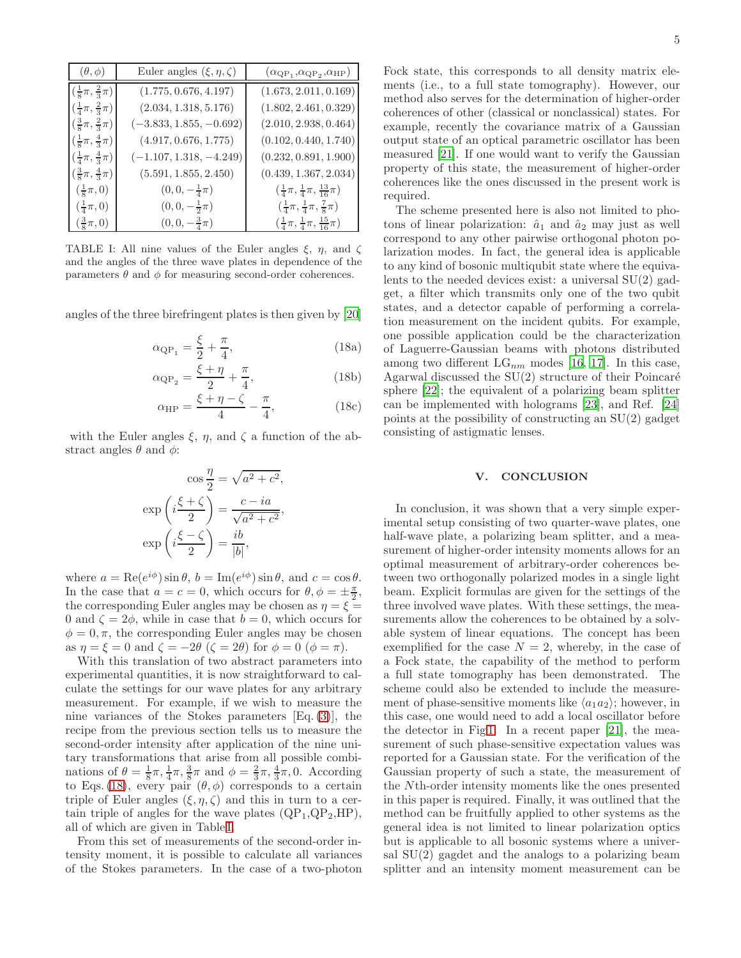| $(\theta, \phi)$                             | Euler angles $(\xi, \eta, \zeta)$ | $(\alpha_{\rm QP_1}, \alpha_{\rm QP_2}, \alpha_{\rm HP})$     |
|----------------------------------------------|-----------------------------------|---------------------------------------------------------------|
| $(\frac{1}{8}\pi, \frac{2}{3}\pi)$           | (1.775, 0.676, 4.197)             | (1.673, 2.011, 0.169)                                         |
| $(\frac{1}{4}\pi, \frac{2}{3}\pi)$           | (2.034, 1.318, 5.176)             | (1.802, 2.461, 0.329)                                         |
| $(\frac{3}{8}\pi, \frac{2}{3}\pi)$           | $(-3.833, 1.855, -0.692)$         | (2.010, 2.938, 0.464)                                         |
| $(\frac{1}{8}\pi, \frac{4}{3}\pi)$           | (4.917, 0.676, 1.775)             | (0.102, 0.440, 1.740)                                         |
| $\left(\frac{1}{4}\pi,\frac{4}{3}\pi\right)$ | $(-1.107, 1.318, -4.249)$         | (0.232, 0.891, 1.900)                                         |
| $(\frac{3}{8}\pi, \frac{4}{3}\pi)$           | (5.591, 1.855, 2.450)             | (0.439, 1.367, 2.034)                                         |
| $\left(\frac{1}{8}\pi,0\right)$              | $(0,0,-\frac{1}{4}\pi)$           | $\left(\frac{1}{4}\pi,\frac{1}{4}\pi,\frac{13}{16}\pi\right)$ |
| $\left(\frac{1}{4}\pi,0\right)$              | $(0,0,-\frac{1}{2}\pi)$           | $(\frac{1}{4}\pi, \frac{1}{4}\pi, \frac{7}{8}\pi)$            |
| $\left(\frac{3}{8}\pi,0\right)$              | $(0,0,-\frac{3}{4}\pi)$           | $(\frac{1}{4}\pi, \frac{1}{4}\pi, \frac{15}{16}\pi)$          |

<span id="page-4-1"></span>TABLE I: All nine values of the Euler angles  $\xi$ ,  $\eta$ , and  $\zeta$ and the angles of the three wave plates in dependence of the parameters  $\theta$  and  $\phi$  for measuring second-order coherences.

angles of the three birefringent plates is then given by [\[20](#page-5-16)]

$$
\alpha_{\rm QP_1} = \frac{\xi}{2} + \frac{\pi}{4},\tag{18a}
$$

$$
\alpha_{\rm QP_2} = \frac{\xi + \eta}{2} + \frac{\pi}{4},\tag{18b}
$$

$$
\alpha_{\rm HP} = \frac{\xi + \eta - \zeta}{4} - \frac{\pi}{4},\tag{18c}
$$

with the Euler angles  $\xi$ ,  $\eta$ , and  $\zeta$  a function of the abstract angles  $\theta$  and  $\phi$ :

$$
\cos\frac{\eta}{2} = \sqrt{a^2 + c^2},
$$

$$
\exp\left(i\frac{\xi + \zeta}{2}\right) = \frac{c - ia}{\sqrt{a^2 + c^2}},
$$

$$
\exp\left(i\frac{\xi - \zeta}{2}\right) = \frac{ib}{|b|},
$$

where  $a = \text{Re}(e^{i\phi}) \sin \theta$ ,  $b = \text{Im}(e^{i\phi}) \sin \theta$ , and  $c = \cos \theta$ . In the case that  $a = c = 0$ , which occurs for  $\theta$ ,  $\phi = \pm \frac{\pi}{2}$ , the corresponding Euler angles may be chosen as  $\eta = \xi =$ 0 and  $\zeta = 2\phi$ , while in case that  $b = 0$ , which occurs for  $\phi = 0, \pi$ , the corresponding Euler angles may be chosen as  $\eta = \xi = 0$  and  $\zeta = -2\theta$  ( $\zeta = 2\theta$ ) for  $\phi = 0$  ( $\phi = \pi$ ).

With this translation of two abstract parameters into experimental quantities, it is now straightforward to calculate the settings for our wave plates for any arbitrary measurement. For example, if we wish to measure the nine variances of the Stokes parameters [Eq. [\(3\)](#page-1-3)], the recipe from the previous section tells us to measure the second-order intensity after application of the nine unitary transformations that arise from all possible combinations of  $\theta = \frac{1}{8}\pi, \frac{1}{4}\pi, \frac{3}{8}\pi$  and  $\phi = \frac{2}{3}\pi, \frac{4}{3}\pi, 0$ . According to Eqs. [\(18\)](#page-4-0), every pair  $(\theta, \phi)$  corresponds to a certain triple of Euler angles  $(\xi, \eta, \zeta)$  and this in turn to a certain triple of angles for the wave plates  $(QP_1,QP_2,HP)$ , all of which are given in Table [I.](#page-4-1)

From this set of measurements of the second-order intensity moment, it is possible to calculate all variances of the Stokes parameters. In the case of a two-photon Fock state, this corresponds to all density matrix elements (i.e., to a full state tomography). However, our method also serves for the determination of higher-order coherences of other (classical or nonclassical) states. For example, recently the covariance matrix of a Gaussian output state of an optical parametric oscillator has been measured [\[21](#page-5-19)]. If one would want to verify the Gaussian property of this state, the measurement of higher-order coherences like the ones discussed in the present work is required.

The scheme presented here is also not limited to photons of linear polarization:  $\hat{a}_1$  and  $\hat{a}_2$  may just as well correspond to any other pairwise orthogonal photon polarization modes. In fact, the general idea is applicable to any kind of bosonic multiqubit state where the equivalents to the needed devices exist: a universal SU(2) gadget, a filter which transmits only one of the two qubit states, and a detector capable of performing a correlation measurement on the incident qubits. For example, one possible application could be the characterization of Laguerre-Gaussian beams with photons distributed among two different  $LG_{nm}$  modes [\[16](#page-5-12), [17](#page-5-13)]. In this case, Agarwal discussed the  $SU(2)$  structure of their Poincaré sphere [\[22](#page-5-20)]; the equivalent of a polarizing beam splitter can be implemented with holograms [\[23\]](#page-5-21), and Ref. [\[24](#page-5-22)] points at the possibility of constructing an SU(2) gadget consisting of astigmatic lenses.

### V. CONCLUSION

<span id="page-4-0"></span>In conclusion, it was shown that a very simple experimental setup consisting of two quarter-wave plates, one half-wave plate, a polarizing beam splitter, and a measurement of higher-order intensity moments allows for an optimal measurement of arbitrary-order coherences between two orthogonally polarized modes in a single light beam. Explicit formulas are given for the settings of the three involved wave plates. With these settings, the measurements allow the coherences to be obtained by a solvable system of linear equations. The concept has been exemplified for the case  $N = 2$ , whereby, in the case of a Fock state, the capability of the method to perform a full state tomography has been demonstrated. The scheme could also be extended to include the measurement of phase-sensitive moments like  $\langle a_1 a_2 \rangle$ ; however, in this case, one would need to add a local oscillator before the detector in Fig [1.](#page-1-0) In a recent paper [\[21\]](#page-5-19), the measurement of such phase-sensitive expectation values was reported for a Gaussian state. For the verification of the Gaussian property of such a state, the measurement of the Nth-order intensity moments like the ones presented in this paper is required. Finally, it was outlined that the method can be fruitfully applied to other systems as the general idea is not limited to linear polarization optics but is applicable to all bosonic systems where a universal SU(2) gagdet and the analogs to a polarizing beam splitter and an intensity moment measurement can be